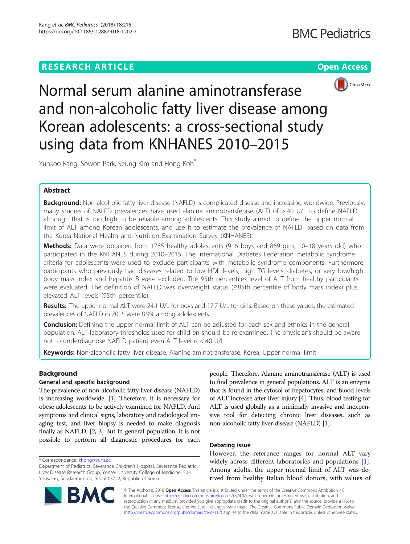



Normal serum alanine aminotransferase and non-alcoholic fatty liver disease among Korean adolescents: a cross-sectional study using data from KNHANES 2010–2015

Yunkoo Kang, Sowon Park, Seung Kim and Hong Koh<sup>\*</sup>

# Abstract

Background: Non-alcoholic fatty liver disease (NAFLD) is complicated disease and increasing worldwide. Previously, many studies of NALFD prevalences have used alanine aminotransferase (ALT) of > 40 U/L to define NAFLD, although that is too high to be reliable among adolescents. This study aimed to define the upper normal limit of ALT among Korean adolescents, and use it to estimate the prevalence of NAFLD, based on data from the Korea National Health and Nutrition Examination Survey (KNHANES).

Methods: Data were obtained from 1785 healthy adolescents (916 boys and 869 girls, 10–18 years old) who participated in the KNHANES during 2010–2015. The International Diabetes Federation metabolic syndrome criteria for adolescents were used to exclude participants with metabolic syndrome components. Furthermore, participants who previously had diseases related to low HDL levels, high TG levels, diabetes, or very low/high body mass index and hepatitis B were excluded. The 95th percentiles level of ALT from healthy participants were evaluated. The definition of NAFLD was overweight status (≥85th percentile of body mass index) plus elevated ALT levels (95th percentile).

Results: The upper normal ALT were 24.1 U/L for boys and 17.7 U/L for girls. Based on these values, the estimated prevalences of NAFLD in 2015 were 8.9% among adolescents.

**Conclusion:** Defining the upper normal limit of ALT can be adjusted for each sex and ethnics in the general population. ALT laboratory thresholds used for children should be re-examined. The physicians should be aware not to underdiagnose NAFLD patient even ALT level is < 40 U/L.

Keywords: Non-alcoholic fatty liver disease, Alanine aminotransferase, Korea, Upper normal limit

# Background

# General and specific background

The prevalence of non-alcoholic fatty liver disease (NAFLD) is increasing worldwide. [\[1](#page-4-0)] Therefore, it is necessary for obese adolescents to be actively examined for NAFLD. And symptoms and clinical signs, laboratory and radiological imaging test, and liver biopsy is needed to make diagnosis finally as NAFLD. [\[2,](#page-4-0) [3\]](#page-4-0) But in general population, it is not possible to perform all diagnostic procedures for each

Department of Pediatrics, Severance Children's Hospital, Severance Pediatric Liver Disease Research Group, Yonsei University College of Medicine, 50-1 Yonsei-ro, Seodaemun-gu, Seoul 03722, Republic of Korea



people. Therefore, Alanine aminotransferase (ALT) is used to find prevalence in general populations. ALT is an enzyme that is found in the cytosol of hepatocytes, and blood levels of ALT increase after liver injury [\[4\]](#page-4-0). Thus, blood testing for ALT is used globally as a minimally invasive and inexpensive tool for detecting chronic liver diseases, such as non-alcoholic fatty liver disease (NAFLD) [[1](#page-4-0)].

# Debating issue

However, the reference ranges for normal ALT vary widely across different laboratories and populations [\[1](#page-4-0)]. Among adults, the upper normal limit of ALT was derived from healthy Italian blood donors, with values of

© The Author(s). 2018 Open Access This article is distributed under the terms of the Creative Commons Attribution 4.0 International License [\(http://creativecommons.org/licenses/by/4.0/](http://creativecommons.org/licenses/by/4.0/)), which permits unrestricted use, distribution, and reproduction in any medium, provided you give appropriate credit to the original author(s) and the source, provide a link to the Creative Commons license, and indicate if changes were made. The Creative Commons Public Domain Dedication waiver [\(http://creativecommons.org/publicdomain/zero/1.0/](http://creativecommons.org/publicdomain/zero/1.0/)) applies to the data made available in this article, unless otherwise stated.

<sup>\*</sup> Correspondence: [khong@yuhs.ac](mailto:khong@yuhs.ac)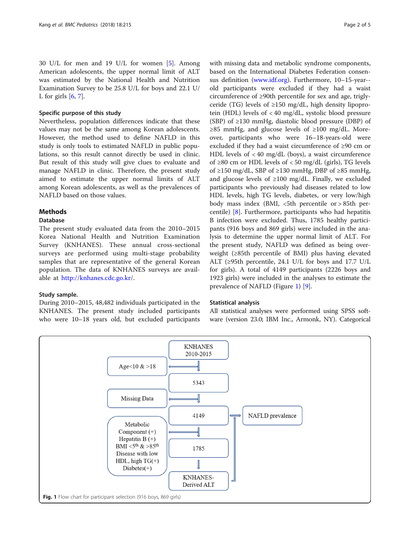30 U/L for men and 19 U/L for women [[5\]](#page-4-0). Among American adolescents, the upper normal limit of ALT was estimated by the National Health and Nutrition Examination Survey to be 25.8 U/L for boys and 22.1 U/ L for girls  $[6, 7]$  $[6, 7]$  $[6, 7]$  $[6, 7]$ .

# Specific purpose of this study

Nevertheless, population differences indicate that these values may not be the same among Korean adolescents. However, the method used to define NAFLD in this study is only tools to estimated NAFLD in public populations, so this result cannot directly be used in clinic. But result of this study will give clues to evaluate and manage NAFLD in clinic. Therefore, the present study aimed to estimate the upper normal limits of ALT among Korean adolescents, as well as the prevalences of NAFLD based on those values.

## **Methods**

### **Database**

The present study evaluated data from the 2010–2015 Korea National Health and Nutrition Examination Survey (KNHANES). These annual cross-sectional surveys are performed using multi-stage probability samples that are representative of the general Korean population. The data of KNHANES surveys are available at [http://knhanes.cdc.go.kr/](http://knhanes.cdc.go.kr).

## Study sample.

During 2010–2015, 48,482 individuals participated in the KNHANES. The present study included participants who were 10–18 years old, but excluded participants with missing data and metabolic syndrome components, based on the International Diabetes Federation consensus definition ([www.idf.org\)](http://www.idf.org). Furthermore, 10–15-year- old participants were excluded if they had a waist circumference of ≥90th percentile for sex and age, triglyceride (TG) levels of  $\geq$ 150 mg/dL, high density lipoprotein (HDL) levels of < 40 mg/dL, systolic blood pressure (SBP) of  $\geq$ 130 mmHg, diastolic blood pressure (DBP) of ≥85 mmHg, and glucose levels of ≥100 mg/dL. Moreover, participants who were 16–18-years-old were excluded if they had a waist circumference of ≥90 cm or HDL levels of < 40 mg/dL (boys), a waist circumference of ≥80 cm or HDL levels of <50 mg/dL (girls), TG levels of ≥150 mg/dL, SBP of ≥130 mmHg, DBP of ≥85 mmHg, and glucose levels of  $\geq 100$  mg/dL. Finally, we excluded participants who previously had diseases related to low HDL levels, high TG levels, diabetes, or very low/high body mass index (BMI,  $\lt$ 5th percentile or  $> 85$ th percentile) [[8](#page-4-0)]. Furthermore, participants who had hepatitis B infection were excluded. Thus, 1785 healthy participants (916 boys and 869 girls) were included in the analysis to determine the upper normal limit of ALT. For the present study, NAFLD was defined as being overweight (≥85th percentile of BMI) plus having elevated ALT (≥95th percentile, 24.1 U/L for boys and 17.7 U/L for girls). A total of 4149 participants (2226 boys and 1923 girls) were included in the analyses to estimate the prevalence of NAFLD (Figure 1) [\[9](#page-4-0)].

## Statistical analysis

All statistical analyses were performed using SPSS software (version 23.0; IBM Inc., Armonk, NY). Categorical

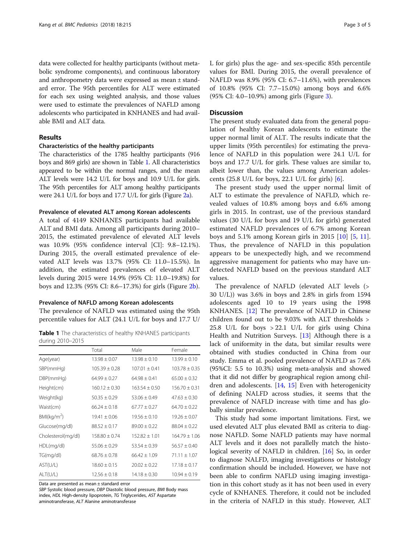data were collected for healthy participants (without metabolic syndrome components), and continuous laboratory and anthropometry data were expressed as mean ± standard error. The 95th percentiles for ALT were estimated for each sex using weighted analysis, and those values were used to estimate the prevalences of NAFLD among adolescents who participated in KNHANES and had available BMI and ALT data.

# Results

## Characteristics of the healthy participants

The characteristics of the 1785 healthy participants (916 boys and 869 girls) are shown in Table 1. All characteristics appeared to be within the normal ranges, and the mean ALT levels were 14.2 U/L for boys and 10.9 U/L for girls. The 95th percentiles for ALT among healthy participants were 24.1 U/L for boys and 17.7 U/L for girls (Figure [2a](#page-3-0)).

### Prevalence of elevated ALT among Korean adolescents

A total of 4149 KNHANES participants had available ALT and BMI data. Among all participants during 2010– 2015, the estimated prevalence of elevated ALT levels was 10.9% (95% confidence interval [CI]: 9.8–12.1%). During 2015, the overall estimated prevalence of elevated ALT levels was 13.7% (95% CI: 11.0–15.5%). In addition, the estimated prevalences of elevated ALT levels during 2015 were 14.9% (95% CI: 11.0–19.8%) for boys and 12.3% (95% CI: 8.6–17.3%) for girls (Figure [2b\)](#page-3-0).

#### Prevalence of NAFLD among Korean adolescents

The prevalence of NAFLD was estimated using the 95th percentile values for ALT (24.1 U/L for boys and 17.7 U/

Table 1 The characteristics of healthy KNHANES participants during 2010–2015

|                         | Total             | Male              | Female            |
|-------------------------|-------------------|-------------------|-------------------|
| Age(year)               | $13.98 + 0.07$    | $13.98 + 0.10$    | $13.99 \pm 0.10$  |
| SBP(mmHg)               | $105.39 \pm 0.28$ | $107.01 + 0.41$   | $103.78 \pm 0.35$ |
| DBP(mmHq)               | $64.99 \pm 0.27$  | $64.98 \pm 0.41$  | $65.00 \pm 0.32$  |
| Height(cm)              | $160.12 + 0.30$   | $163.54 + 0.50$   | $156.70 + 0.31$   |
| Weight(kg)              | $50.35 \pm 0.29$  | $53.06 \pm 0.49$  | $47.63 \pm 0.30$  |
| Waist(cm)               | $66.24 + 0.18$    | $67.77 \pm 0.27$  | $64.70 + 0.22$    |
| BMl(kg/m <sup>2</sup> ) | $19.41 + 0.06$    | $19.56 + 0.10$    | $19.26 + 0.07$    |
| Glucose(mg/dl)          | $88.52 \pm 0.17$  | $89.00 + 0.22$    | $88.04 + 0.22$    |
| Cholesterol(mg/dl)      | $158.80 \pm 0.74$ | $152.82 \pm 1.01$ | $164.79 \pm 1.06$ |
| HDL(mq/dl)              | $55.06 + 0.29$    | $53.54 \pm 0.39$  | $56.57 + 0.40$    |
| TG(mg/dl)               | $68.76 \pm 0.78$  | $66.42 + 1.09$    | $71.11 \pm 1.07$  |
| AST(U/L)                | $18.60 \pm 0.15$  | $20.02 + 0.22$    | $17.18 \pm 0.17$  |
| ALT(U/L)                | $12.56 \pm 0.18$  | $14.18 + 0.30$    | $10.94 \pm 0.19$  |

Data are presented as mean ± standard error

SBP Systolic blood pressure, DBP Diastolic blood pressure, BMI Body mass index, HDL High-density lipoprotein, TG Triglycerides, AST Aspartate aminotransferase, ALT Alanine aminotransferase

L for girls) plus the age- and sex-specific 85th percentile values for BMI. During 2015, the overall prevalence of NAFLD was 8.9% (95% CI: 6.7–11.6%), with prevalences of 10.8% (95% CI: 7.7–15.0%) among boys and 6.6% (95% CI: 4.0–10.9%) among girls (Figure [3\)](#page-3-0).

## **Discussion**

The present study evaluated data from the general population of healthy Korean adolescents to estimate the upper normal limit of ALT. The results indicate that the upper limits (95th percentiles) for estimating the prevalence of NAFLD in this population were 24.1 U/L for boys and 17.7 U/L for girls. These values are similar to, albeit lower than, the values among American adolescents  $(25.8 \text{ U/L}$  for boys,  $22.1 \text{ U/L}$  for girls)  $[6]$  $[6]$  $[6]$ .

The present study used the upper normal limit of ALT to estimate the prevalence of NAFLD, which revealed values of 10.8% among boys and 6.6% among girls in 2015. In contrast, use of the previous standard values (30 U/L for boys and 19 U/L for girls) generated estimated NAFLD prevalences of 6.7% among Korean boys and 5.1% among Korean girls in 2015 [[10\]](#page-4-0) [[5,](#page-4-0) [11](#page-4-0)]. Thus, the prevalence of NAFLD in this population appears to be unexpectedly high, and we recommend aggressive management for patients who may have undetected NAFLD based on the previous standard ALT values.

The prevalence of NAFLD (elevated ALT levels (> 30 U/L)) was 3.6% in boys and 2.8% in girls from 1594 adolescents aged 10 to 19 years using the 1998 KNHANES. [[12\]](#page-4-0) The prevalence of NAFLD in Chinese children found out to be 9.03% with ALT thresholds > 25.8 U/L for boys > 22.1 U/L for girls using China Health and Nutrition Surveys. [[13\]](#page-4-0) Although there is a lack of uniformity in the data, but similar results were obtained with studies conducted in China from our study. Emma et al. pooled prevalence of NAFLD as 7.6% (95%CI: 5.5 to 10.3%) using meta-analysis and showed that it did not differ by geographical region among children and adolescents. [\[14](#page-4-0), [15](#page-4-0)] Even with heterogenicity of defining NALFD across studies, it seems that the prevalence of NAFLD increase with time and has globally similar prevalence.

This study had some important limitations. First, we used elevated ALT plus elevated BMI as criteria to diagnose NAFLD. Some NAFLD patients may have normal ALT levels and it does not parallelly match the histological severity of NAFLD in children. [[16\]](#page-4-0) So, in order to diagnose NALFD, imaging investigations or histology confirmation should be included. However, we have not been able to confirm NAFLD using imaging investigation in this cohort study as it has not been used in every cycle of KNHANES. Therefore, it could not be included in the criteria of NAFLD in this study. However, ALT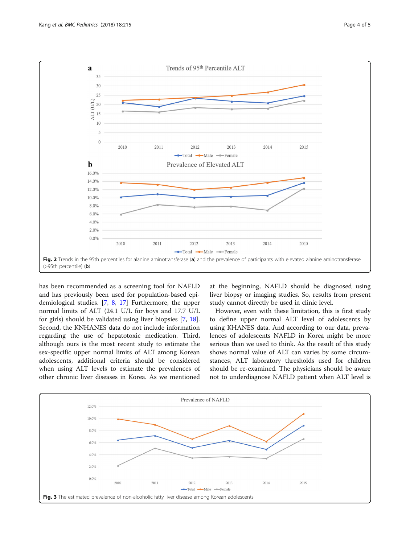<span id="page-3-0"></span>

has been recommended as a screening tool for NAFLD and has previously been used for population-based epidemiological studies. [[7,](#page-4-0) [8](#page-4-0), [17](#page-4-0)] Furthermore, the upper normal limits of ALT (24.1 U/L for boys and 17.7 U/L for girls) should be validated using liver biopsies [[7,](#page-4-0) [18](#page-4-0)]. Second, the KNHANES data do not include information regarding the use of hepatotoxic medication. Third, although ours is the most recent study to estimate the sex-specific upper normal limits of ALT among Korean adolescents, additional criteria should be considered when using ALT levels to estimate the prevalences of other chronic liver diseases in Korea. As we mentioned

at the beginning, NAFLD should be diagnosed using liver biopsy or imaging studies. So, results from present study cannot directly be used in clinic level.

However, even with these limitation, this is first study to define upper normal ALT level of adolescents by using KHANES data. And according to our data, prevalences of adolescents NAFLD in Korea might be more serious than we used to think. As the result of this study shows normal value of ALT can varies by some circumstances, ALT laboratory thresholds used for children should be re-examined. The physicians should be aware not to underdiagnose NAFLD patient when ALT level is